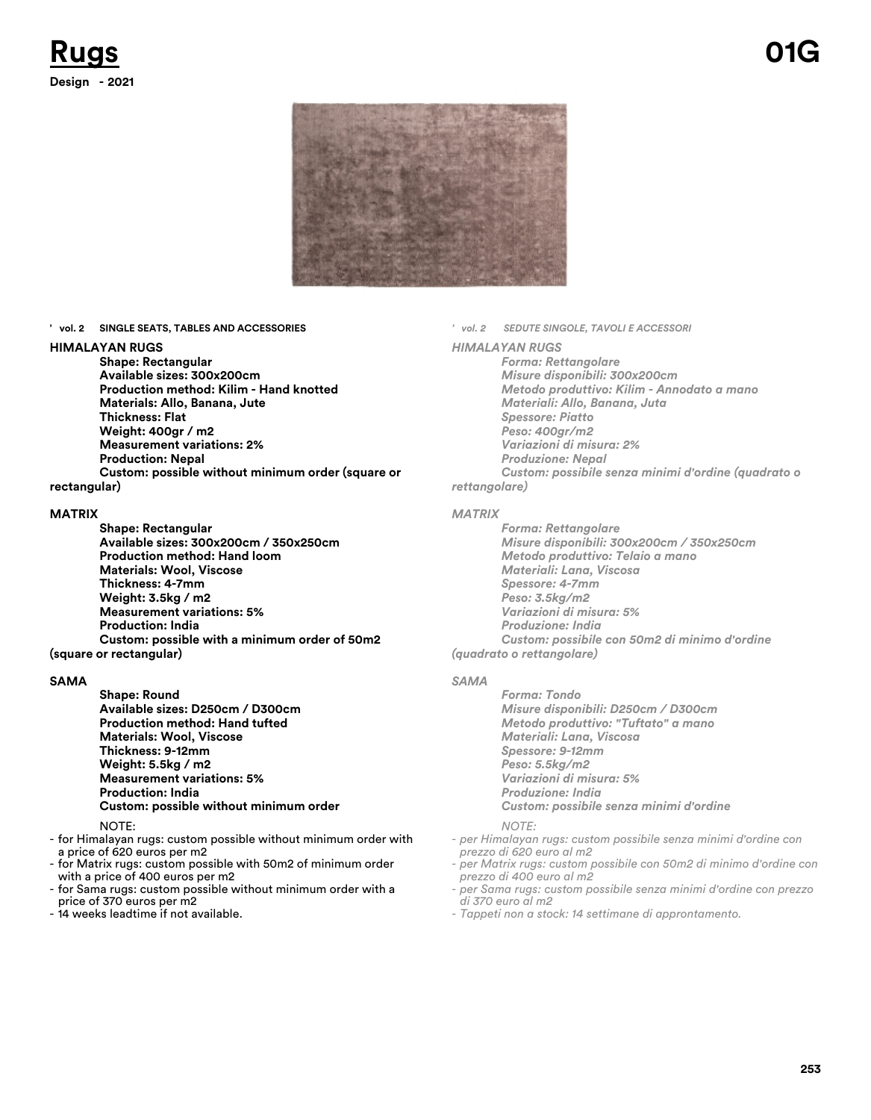

**' vol. 2 SINGLE SEATS, TABLES AND ACCESSORIES**

#### **HIMALAYAN RUGS**

**Shape: Rectangular Available sizes: 300x200cm Production method: Kilim - Hand knotted Materials: Allo, Banana, Jute Thickness: Flat Weight: 400gr / m2 Measurement variations: 2% Production: Nepal Custom: possible without minimum order (square or**

### **rectangular)**

#### **MATRIX**

**Shape: Rectangular Available sizes: 300x200cm / 350x250cm Production method: Hand loom Materials: Wool, Viscose Thickness: 4-7mm Weight: 3.5kg / m2 Measurement variations: 5% Production: India Custom: possible with a minimum order of 50m2 (square or rectangular)**

#### **SAMA**

**Shape: Round Available sizes: D250cm / D300cm Production method: Hand tufted Materials: Wool, Viscose Thickness: 9-12mm Weight: 5.5kg / m2 Measurement variations: 5% Production: India Custom: possible without minimum order**

#### NOTE:

- for Himalayan rugs: custom possible without minimum order with a price of 620 euros per m2
- for Matrix rugs: custom possible with 50m2 of minimum order with a price of 400 euros per m2
- for Sama rugs: custom possible without minimum order with a price of 370 euros per m2
- 14 weeks leadtime if not available.

*' vol. 2 SEDUTE SINGOLE, TAVOLI E ACCESSORI*

#### *HIMALAYAN RUGS*

*Forma: Rettangolare Misure disponibili: 300x200cm Metodo produttivo: Kilim - Annodato a mano Materiali: Allo, Banana, Juta Spessore: Piatto Peso: 400gr/m2 Variazioni di misura: 2% Produzione: Nepal Custom: possibile senza minimi d'ordine (quadrato o rettangolare)*

#### *MATRIX*

*Forma: Rettangolare Misure disponibili: 300x200cm / 350x250cm Metodo produttivo: Telaio a mano Materiali: Lana, Viscosa Spessore: 4-7mm Peso: 3.5kg/m2 Variazioni di misura: 5% Produzione: India Custom: possibile con 50m2 di minimo d'ordine*

*(quadrato o rettangolare)*

#### *SAMA*

*Forma: Tondo Misure disponibili: D250cm / D300cm Metodo produttivo: "Tuftato" a mano Materiali: Lana, Viscosa Spessore: 9-12mm Peso: 5.5kg/m2 Variazioni di misura: 5% Produzione: India Custom: possibile senza minimi d'ordine*

#### *NOTE:*

- *per Himalayan rugs: custom possibile senza minimi d'ordine con prezzo di 620 euro al m2*
- *per Matrix rugs: custom possibile con 50m2 di minimo d'ordine con prezzo di 400 euro al m2*
- *per Sama rugs: custom possibile senza minimi d'ordine con prezzo di 370 euro al m2*
- *Tappeti non a stock: 14 settimane di approntamento.*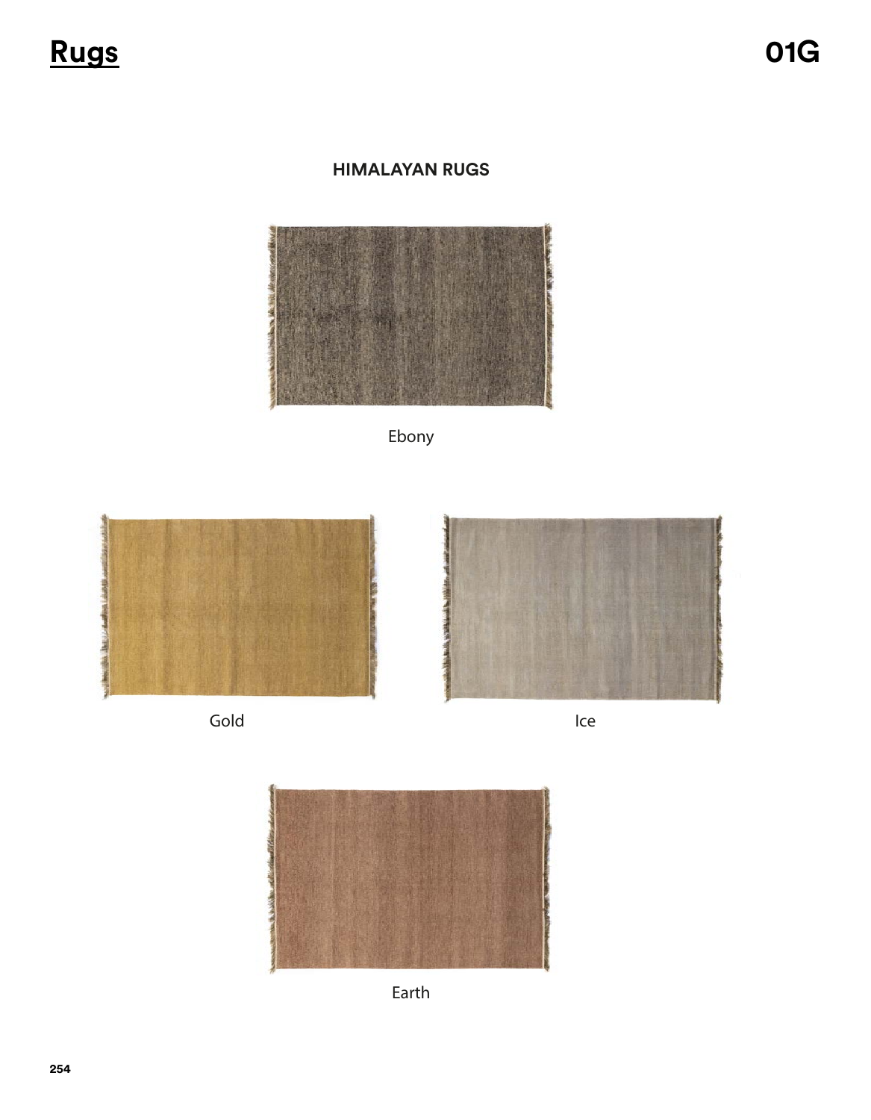<u>Rugs</u>

### **HIMALAYAN RUGS**



Ebony







Ice



Earth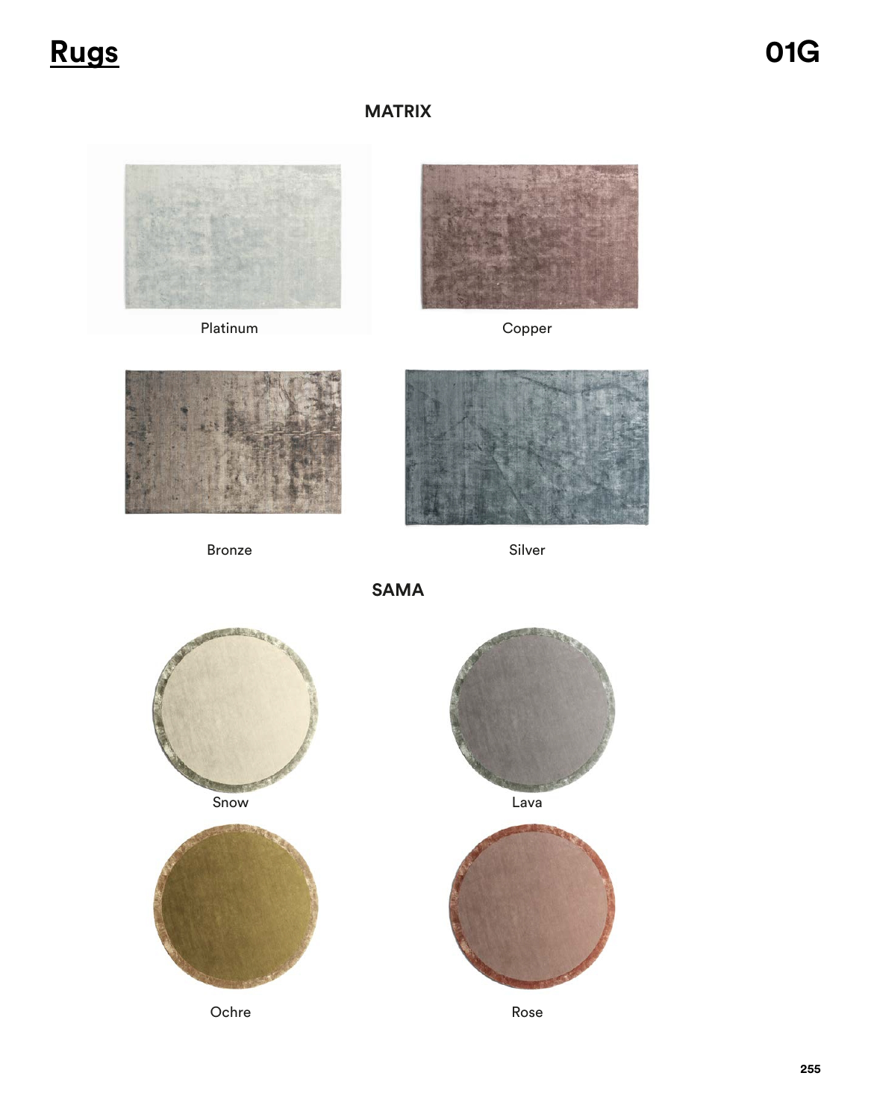## **Rugs 01G**

## **MATRIX**





Platinum Copper



Bronze Silver



**SAMA**



Ochre





Rose